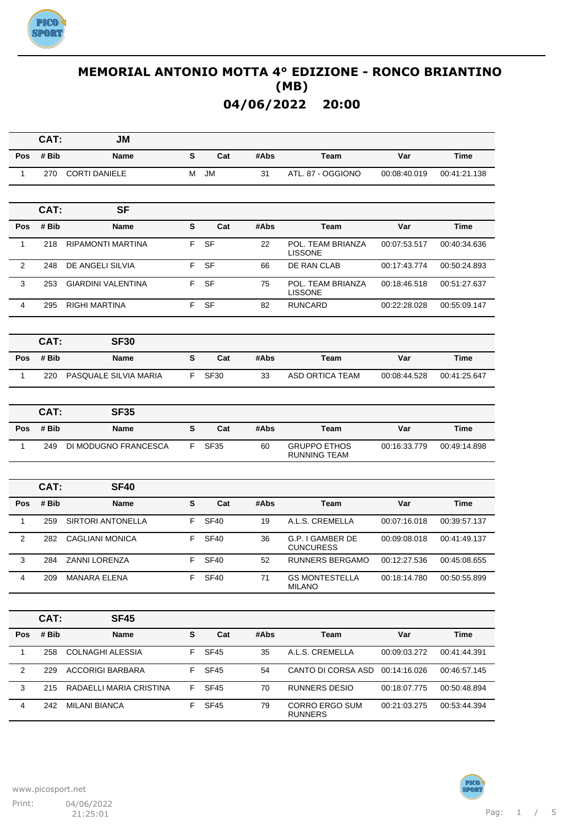

|                | CAT:  | JM                        |    |             |      |                                            |              |              |
|----------------|-------|---------------------------|----|-------------|------|--------------------------------------------|--------------|--------------|
| Pos            | # Bib | Name                      | S  | Cat         | #Abs | Team                                       | Var          | Time         |
| 1              | 270   | <b>CORTI DANIELE</b>      | М  | <b>JM</b>   | 31   | ATL. 87 - OGGIONO                          | 00:08:40.019 | 00:41:21.138 |
|                |       |                           |    |             |      |                                            |              |              |
|                | CAT:  | <b>SF</b>                 |    |             |      |                                            |              |              |
| Pos            | # Bib | Name                      | S  | Cat         | #Abs | Team                                       | Var          | Time         |
| 1              | 218   | <b>RIPAMONTI MARTINA</b>  | F. | SF          | 22   | POL. TEAM BRIANZA<br><b>LISSONE</b>        | 00:07:53.517 | 00:40:34.636 |
| $\overline{c}$ | 248   | DE ANGELI SILVIA          | F. | <b>SF</b>   | 66   | DE RAN CLAB                                | 00:17:43.774 | 00:50:24.893 |
| 3              | 253   | <b>GIARDINI VALENTINA</b> | F  | <b>SF</b>   | 75   | POL. TEAM BRIANZA<br><b>LISSONE</b>        | 00:18:46.518 | 00:51:27.637 |
| $\overline{4}$ | 295   | <b>RIGHI MARTINA</b>      | F. | <b>SF</b>   | 82   | <b>RUNCARD</b>                             | 00:22:28.028 | 00:55:09.147 |
|                |       |                           |    |             |      |                                            |              |              |
|                | CAT:  | <b>SF30</b>               |    |             |      |                                            |              |              |
| Pos            | # Bib | <b>Name</b>               | S  | Cat         | #Abs | <b>Team</b>                                | Var          | Time         |
| $\mathbf{1}$   | 220   | PASQUALE SILVIA MARIA     | F. | <b>SF30</b> | 33   | <b>ASD ORTICA TEAM</b>                     | 00:08:44.528 | 00:41:25.647 |
|                |       |                           |    |             |      |                                            |              |              |
|                | CAT:  | <b>SF35</b>               |    |             |      |                                            |              |              |
| Pos            | # Bib | <b>Name</b>               | S  | Cat         | #Abs | Team                                       | Var          | Time         |
| $\mathbf{1}$   | 249   | DI MODUGNO FRANCESCA      | F. | <b>SF35</b> | 60   | <b>GRUPPO ETHOS</b><br><b>RUNNING TEAM</b> | 00:16:33.779 | 00:49:14.898 |
|                |       |                           |    |             |      |                                            |              |              |
|                | CAT:  | <b>SF40</b>               |    |             |      |                                            |              |              |
| Pos            | # Bib | <b>Name</b>               | S  | Cat         | #Abs | Team                                       | Var          | <b>Time</b>  |
| 1              | 259   | <b>SIRTORI ANTONELLA</b>  | F. | <b>SF40</b> | 19   | A.L.S. CREMELLA                            | 00:07:16.018 | 00:39:57.137 |
| 2              | 282   | <b>CAGLIANI MONICA</b>    | F  | <b>SF40</b> | 36   | G.P. I GAMBER DE<br><b>CUNCURESS</b>       | 00:09:08.018 | 00:41:49.137 |
| 3              | 284   | ZANNI LORENZA             | F  | <b>SF40</b> | 52   | <b>RUNNERS BERGAMO</b>                     | 00:12:27.536 | 00:45:08.655 |
| 4              | 209   | MANARA ELENA              | F  | SF40        | 71   | <b>GS MONTESTELLA</b><br><b>MILANO</b>     | 00:18:14.780 | 00:50:55.899 |
|                |       |                           |    |             |      |                                            |              |              |
|                | CAT:  | SF45                      |    |             |      |                                            |              |              |
| Pos            | # Bib | Name                      | S  | Cat         | #Abs | Team                                       | Var          | <b>Time</b>  |
| $\mathbf{1}$   | 258   | <b>COLNAGHI ALESSIA</b>   | F. | SF45        | 35   | A.L.S. CREMELLA                            | 00:09:03.272 | 00:41:44.391 |
| $\overline{2}$ | 229   | <b>ACCORIGI BARBARA</b>   | F. | <b>SF45</b> | 54   | CANTO DI CORSA ASD                         | 00:14:16.026 | 00:46:57.145 |
| 3              | 215   | RADAELLI MARIA CRISTINA   | F. | <b>SF45</b> | 70   | <b>RUNNERS DESIO</b>                       | 00:18:07.775 | 00:50:48.894 |
| 4              | 242   | <b>MILANI BIANCA</b>      | F. | SF45        | 79   | CORRO ERGO SUM<br><b>RUNNERS</b>           | 00:21:03.275 | 00:53:44.394 |

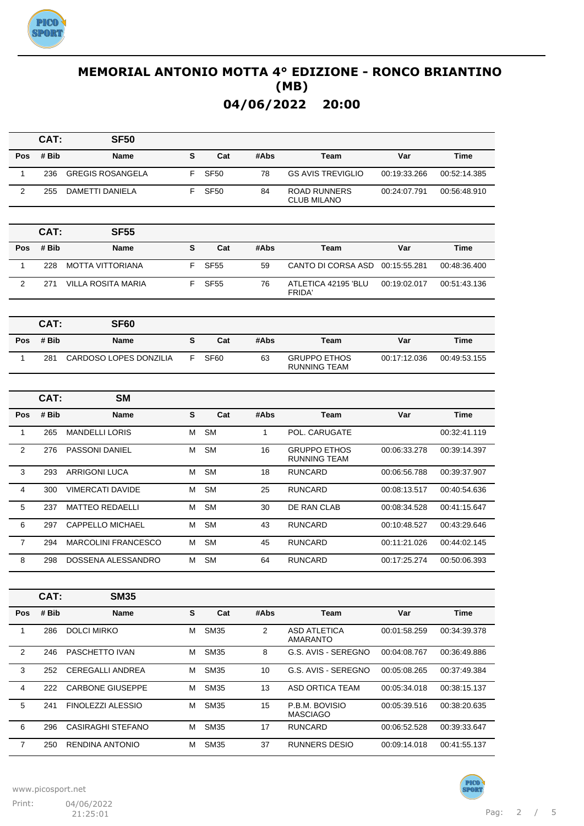

|                | CAT:  | <b>SF50</b>                   |           |                  |              |                                            |              |              |
|----------------|-------|-------------------------------|-----------|------------------|--------------|--------------------------------------------|--------------|--------------|
| <b>Pos</b>     | # Bib | <b>Name</b>                   | ${\bf s}$ | Cat              | #Abs         | <b>Team</b>                                | Var          | <b>Time</b>  |
| $\mathbf{1}$   | 236   | <b>GREGIS ROSANGELA</b>       | F.        | <b>SF50</b>      | 78           | <b>GS AVIS TREVIGLIO</b>                   | 00:19:33.266 | 00:52:14.385 |
| $\overline{2}$ | 255   | DAMETTI DANIELA               | F.        | <b>SF50</b>      | 84           | <b>ROAD RUNNERS</b><br><b>CLUB MILANO</b>  | 00:24:07.791 | 00:56:48.910 |
|                |       |                               |           |                  |              |                                            |              |              |
|                | CAT:  | <b>SF55</b>                   |           |                  |              |                                            |              |              |
| Pos            | # Bib | Name                          | S         | Cat              | #Abs         | Team                                       | Var          | Time         |
| $\mathbf{1}$   | 228   | <b>MOTTA VITTORIANA</b>       | F.        | <b>SF55</b>      | 59           | <b>CANTO DI CORSA ASD</b>                  | 00:15:55.281 | 00:48:36.400 |
| $\overline{2}$ | 271   | <b>VILLA ROSITA MARIA</b>     | F         | <b>SF55</b>      | 76           | ATLETICA 42195 'BLU<br>FRIDA'              | 00:19:02.017 | 00:51:43.136 |
|                |       |                               |           |                  |              |                                            |              |              |
|                | CAT:  | <b>SF60</b>                   |           |                  |              |                                            |              |              |
| Pos            | # Bib | Name                          | S         | Cat              | #Abs         | Team                                       | Var          | Time         |
| 1              | 281   | <b>CARDOSO LOPES DONZILIA</b> | F.        | SF <sub>60</sub> | 63           | <b>GRUPPO ETHOS</b><br><b>RUNNING TEAM</b> | 00:17:12.036 | 00:49:53.155 |
|                |       |                               |           |                  |              |                                            |              |              |
|                | CAT:  | <b>SM</b>                     |           |                  |              |                                            |              |              |
| <b>Pos</b>     | # Bib | <b>Name</b>                   | S         | Cat              | #Abs         | <b>Team</b>                                | Var          | <b>Time</b>  |
| $\mathbf{1}$   | 265   | <b>MANDELLI LORIS</b>         | М         | <b>SM</b>        | $\mathbf{1}$ | POL. CARUGATE                              |              | 00:32:41.119 |
| $\overline{2}$ | 276   | PASSONI DANIEL                | М         | <b>SM</b>        | 16           | <b>GRUPPO ETHOS</b><br><b>RUNNING TEAM</b> | 00:06:33.278 | 00:39:14.397 |
| 3              | 293   | <b>ARRIGONI LUCA</b>          | М         | <b>SM</b>        | 18           | <b>RUNCARD</b>                             | 00:06:56.788 | 00:39:37.907 |
| 4              | 300   | <b>VIMERCATI DAVIDE</b>       | М         | <b>SM</b>        | 25           | <b>RUNCARD</b>                             | 00:08:13.517 | 00:40:54.636 |
| 5              | 237   | <b>MATTEO REDAELLI</b>        | М         | <b>SM</b>        | 30           | DE RAN CLAB                                | 00:08:34.528 | 00:41:15.647 |
| 6              | 297   | CAPPELLO MICHAEL              | М         | <b>SM</b>        | 43           | <b>RUNCARD</b>                             | 00:10:48.527 | 00:43:29.646 |
| $\overline{7}$ | 294   | <b>MARCOLINI FRANCESCO</b>    | м         | <b>SM</b>        | 45           | <b>RUNCARD</b>                             | 00:11:21.026 | 00:44:02.145 |
| 8              | 298   | DOSSENA ALESSANDRO            | М         | <b>SM</b>        | 64           | <b>RUNCARD</b>                             | 00:17:25.274 | 00:50:06.393 |
|                |       |                               |           |                  |              |                                            |              |              |
|                | CAT:  | <b>SM35</b>                   |           |                  |              |                                            |              |              |
| Pos            | # Bib | <b>Name</b>                   | S         | Cat              | #Abs         | <b>Team</b>                                | Var          | Time         |
| $\mathbf{1}$   | 286   | <b>DOLCI MIRKO</b>            | м         | <b>SM35</b>      | $\mathbf{2}$ | <b>ASD ATLETICA</b><br>AMARANTO            | 00:01:58.259 | 00:34:39.378 |
| $\overline{2}$ | 246   | PASCHETTO IVAN                | м         | <b>SM35</b>      | 8            | G.S. AVIS - SEREGNO                        | 00:04:08.767 | 00:36:49.886 |
| 3              | 252   | <b>CEREGALLI ANDREA</b>       | М         | <b>SM35</b>      | 10           | G.S. AVIS - SEREGNO                        | 00:05:08.265 | 00:37:49.384 |
| 4              | 222   | <b>CARBONE GIUSEPPE</b>       | м         | <b>SM35</b>      | 13           | ASD ORTICA TEAM                            | 00:05:34.018 | 00:38:15.137 |
| $\mathbf 5$    | 241   | FINOLEZZI ALESSIO             | м         | <b>SM35</b>      | 15           | P.B.M. BOVISIO<br><b>MASCIAGO</b>          | 00:05:39.516 | 00:38:20.635 |

6 296 CASIRAGHI STEFANO M SM35 17 RUNCARD 00:06:52.528 00:39:33.647 7 250 RENDINA ANTONIO M SM35 37 RUNNERS DESIO 00:09:14.018 00:41:55.137



PTCXI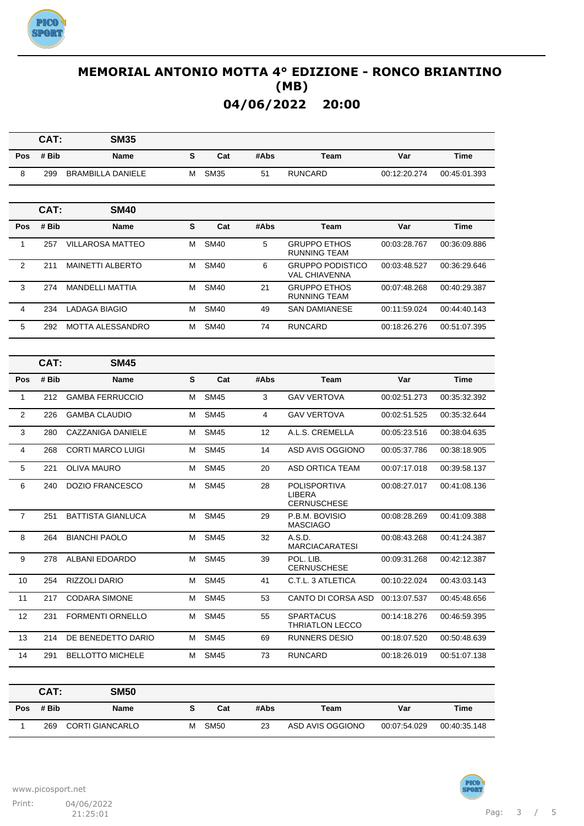

|                         | CAT:  | <b>SM35</b>              |   |             |      |                                                     |              |              |
|-------------------------|-------|--------------------------|---|-------------|------|-----------------------------------------------------|--------------|--------------|
| <b>Pos</b>              | # Bib | Name                     | S | Cat         | #Abs | Team                                                | Var          | <b>Time</b>  |
| 8                       | 299   | <b>BRAMBILLA DANIELE</b> | м | <b>SM35</b> | 51   | <b>RUNCARD</b>                                      | 00:12:20.274 | 00:45:01.393 |
|                         |       |                          |   |             |      |                                                     |              |              |
|                         | CAT:  | SM40                     |   |             |      |                                                     |              |              |
| Pos                     | # Bib | Name                     | S | Cat         | #Abs | Team                                                | Var          | Time         |
| $\mathbf{1}$            | 257   | <b>VILLAROSA MATTEO</b>  | м | <b>SM40</b> | 5    | <b>GRUPPO ETHOS</b><br>RUNNING TEAM                 | 00:03:28.767 | 00:36:09.886 |
| $\overline{\mathbf{c}}$ | 211   | <b>MAINETTI ALBERTO</b>  | М | <b>SM40</b> | 6    | <b>GRUPPO PODISTICO</b><br><b>VAL CHIAVENNA</b>     | 00:03:48.527 | 00:36:29.646 |
| 3                       | 274   | <b>MANDELLI MATTIA</b>   | м | <b>SM40</b> | 21   | <b>GRUPPO ETHOS</b><br><b>RUNNING TEAM</b>          | 00:07:48.268 | 00:40:29.387 |
| 4                       | 234   | <b>LADAGA BIAGIO</b>     | м | <b>SM40</b> | 49   | <b>SAN DAMIANESE</b>                                | 00:11:59.024 | 00:44:40.143 |
| 5                       | 292   | <b>MOTTA ALESSANDRO</b>  | м | <b>SM40</b> | 74   | <b>RUNCARD</b>                                      | 00:18:26.276 | 00:51:07.395 |
|                         |       |                          |   |             |      |                                                     |              |              |
|                         | CAT:  | <b>SM45</b>              |   |             |      |                                                     |              |              |
| Pos                     | # Bib | Name                     | S | Cat         | #Abs | Team                                                | Var          | Time         |
| $\mathbf{1}$            | 212   | <b>GAMBA FERRUCCIO</b>   | м | <b>SM45</b> | 3    | <b>GAV VERTOVA</b>                                  | 00:02:51.273 | 00:35:32.392 |
| $\overline{2}$          | 226   | <b>GAMBA CLAUDIO</b>     | м | <b>SM45</b> | 4    | <b>GAV VERTOVA</b>                                  | 00:02:51.525 | 00:35:32.644 |
| 3                       | 280   | CAZZANIGA DANIELE        | м | <b>SM45</b> | 12   | A.L.S. CREMELLA                                     | 00:05:23.516 | 00:38:04.635 |
| 4                       | 268   | <b>CORTI MARCO LUIGI</b> | м | <b>SM45</b> | 14   | ASD AVIS OGGIONO                                    | 00:05:37.786 | 00:38:18.905 |
| 5                       | 221   | <b>OLIVA MAURO</b>       | м | <b>SM45</b> | 20   | <b>ASD ORTICA TEAM</b>                              | 00:07:17.018 | 00:39:58.137 |
| 6                       | 240   | DOZIO FRANCESCO          | м | <b>SM45</b> | 28   | <b>POLISPORTIVA</b><br>LIBERA<br><b>CERNUSCHESE</b> | 00:08:27.017 | 00:41:08.136 |
| $\overline{7}$          | 251   | <b>BATTISTA GIANLUCA</b> | м | <b>SM45</b> | 29   | P.B.M. BOVISIO<br><b>MASCIAGO</b>                   | 00:08:28.269 | 00:41:09.388 |
| 8                       | 264   | <b>BIANCHI PAOLO</b>     | м | <b>SM45</b> | 32   | A.S.D.<br><b>MARCIACARATESI</b>                     | 00:08:43.268 | 00:41:24.387 |
| 9                       | 278   | ALBANI EDOARDO           | м | <b>SM45</b> | 39   | POL. LIB.<br><b>CERNUSCHESE</b>                     | 00:09:31.268 | 00:42:12.387 |
| 10                      | 254   | RIZZOLI DARIO            | м | <b>SM45</b> | 41   | C.T.L. 3 ATLETICA                                   | 00:10:22.024 | 00:43:03.143 |
| 11                      | 217   | CODARA SIMONE            | М | <b>SM45</b> | 53   | CANTO DI CORSA ASD                                  | 00:13:07.537 | 00:45:48.656 |
| 12                      | 231   | FORMENTI ORNELLO         | М | <b>SM45</b> | 55   | <b>SPARTACUS</b><br><b>THRIATLON LECCO</b>          | 00:14:18.276 | 00:46:59.395 |
| 13                      | 214   | DE BENEDETTO DARIO       | м | <b>SM45</b> | 69   | RUNNERS DESIO                                       | 00:18:07.520 | 00:50:48.639 |
| 14                      | 291   | <b>BELLOTTO MICHELE</b>  | м | <b>SM45</b> | 73   | <b>RUNCARD</b>                                      | 00:18:26.019 | 00:51:07.138 |

|            | CAT:  | <b>SM50</b>            |   |             |      |                  |              |              |
|------------|-------|------------------------|---|-------------|------|------------------|--------------|--------------|
| <b>Pos</b> | # Bib | <b>Name</b>            |   | Cat         | #Abs | Team             | Var          | Time         |
|            | 269   | <b>CORTI GIANCARLO</b> | м | <b>SM50</b> | 23   | ASD AVIS OGGIONO | 00:07:54.029 | 00:40:35.148 |

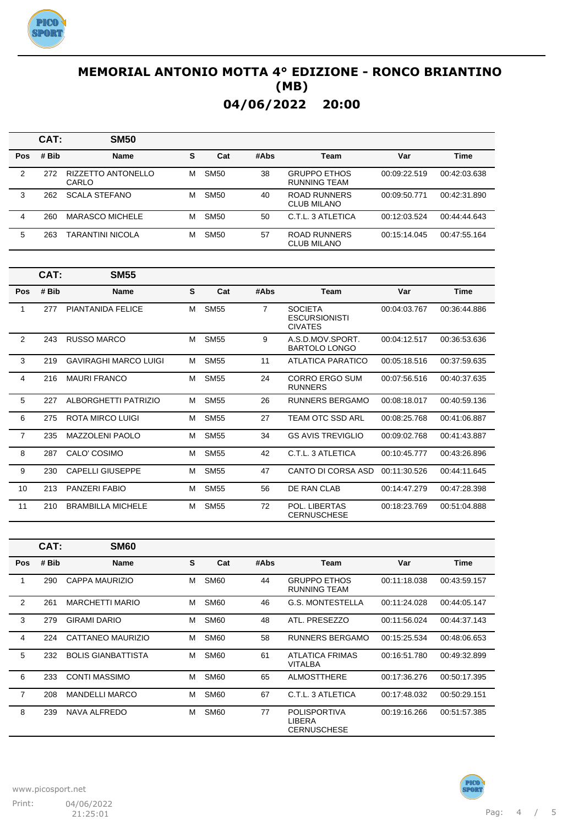

|            | CAT:  | <b>SM50</b>                        |   |             |      |                                            |              |              |
|------------|-------|------------------------------------|---|-------------|------|--------------------------------------------|--------------|--------------|
| <b>Pos</b> | # Bib | <b>Name</b>                        | s | Cat         | #Abs | Team                                       | Var          | <b>Time</b>  |
| 2          | 272   | <b>RIZZETTO ANTONELLO</b><br>CARLO | м | <b>SM50</b> | 38   | <b>GRUPPO ETHOS</b><br><b>RUNNING TEAM</b> | 00:09:22.519 | 00:42:03.638 |
| 3          | 262   | <b>SCALA STEFANO</b>               | м | <b>SM50</b> | 40   | ROAD RUNNERS<br><b>CLUB MILANO</b>         | 00:09:50.771 | 00:42:31.890 |
| 4          | 260   | <b>MARASCO MICHELE</b>             | м | <b>SM50</b> | 50   | C.T.I. 3 ATI FTICA                         | 00:12:03.524 | 00:44:44.643 |
| 5          | 263   | TARANTINI NICOLA                   | м | <b>SM50</b> | 57   | ROAD RUNNERS<br>CLUB MILANO                | 00:15:14.045 | 00:47:55.164 |

|                | CAT:  | <b>SM55</b>                  |   |             |                |                                                          |              |              |
|----------------|-------|------------------------------|---|-------------|----------------|----------------------------------------------------------|--------------|--------------|
| Pos            | # Bib | <b>Name</b>                  | S | Cat         | #Abs           | <b>Team</b>                                              | Var          | <b>Time</b>  |
| 1              | 277   | PIANTANIDA FELICE            | м | <b>SM55</b> | $\overline{7}$ | <b>SOCIETA</b><br><b>ESCURSIONISTI</b><br><b>CIVATES</b> | 00:04:03.767 | 00:36:44.886 |
| $\overline{2}$ | 243   | RUSSO MARCO                  | м | <b>SM55</b> | 9              | A.S.D.MOV.SPORT.<br><b>BARTOLO LONGO</b>                 | 00:04:12.517 | 00:36:53.636 |
| 3              | 219   | <b>GAVIRAGHI MARCO LUIGI</b> | м | <b>SM55</b> | 11             | ATLATICA PARATICO                                        | 00:05:18.516 | 00:37:59.635 |
| 4              | 216   | <b>MAURI FRANCO</b>          | м | <b>SM55</b> | 24             | CORRO ERGO SUM<br><b>RUNNERS</b>                         | 00:07:56.516 | 00:40:37.635 |
| 5              | 227   | ALBORGHETTI PATRIZIO         | м | <b>SM55</b> | 26             | RUNNERS BERGAMO                                          | 00:08:18.017 | 00:40:59.136 |
| 6              | 275   | ROTA MIRCO LUIGI             | м | <b>SM55</b> | 27             | TEAM OTC SSD ARL                                         | 00:08:25.768 | 00:41:06.887 |
| $\overline{7}$ | 235   | <b>MAZZOLENI PAOLO</b>       | м | <b>SM55</b> | 34             | <b>GS AVIS TREVIGLIO</b>                                 | 00:09:02.768 | 00:41:43.887 |
| 8              | 287   | CALO' COSIMO                 | м | <b>SM55</b> | 42             | C.T.L. 3 ATLETICA                                        | 00:10:45.777 | 00:43:26.896 |
| 9              | 230   | <b>CAPELLI GIUSEPPE</b>      | м | <b>SM55</b> | 47             | CANTO DI CORSA ASD                                       | 00:11:30.526 | 00:44:11.645 |
| 10             | 213   | PANZERI FABIO                | м | <b>SM55</b> | 56             | DE RAN CLAB                                              | 00:14:47.279 | 00:47:28.398 |
| 11             | 210   | <b>BRAMBILLA MICHELE</b>     | м | <b>SM55</b> | 72             | POL. LIBERTAS<br><b>CERNUSCHESE</b>                      | 00:18:23.769 | 00:51:04.888 |

|            | CAT:  | <b>SM60</b>               |   |             |      |                                                     |              |              |
|------------|-------|---------------------------|---|-------------|------|-----------------------------------------------------|--------------|--------------|
| <b>Pos</b> | # Bib | <b>Name</b>               | S | Cat         | #Abs | Team                                                | Var          | Time         |
| 1          | 290   | CAPPA MAURIZIO            | м | <b>SM60</b> | 44   | <b>GRUPPO ETHOS</b><br><b>RUNNING TEAM</b>          | 00:11:18.038 | 00:43:59.157 |
| 2          | 261   | <b>MARCHETTI MARIO</b>    | M | <b>SM60</b> | 46   | <b>G.S. MONTESTELLA</b>                             | 00:11:24.028 | 00:44:05.147 |
| 3          | 279   | <b>GIRAMI DARIO</b>       | М | <b>SM60</b> | 48   | ATL. PRESEZZO                                       | 00:11:56.024 | 00:44:37.143 |
| 4          | 224   | CATTANEO MAURIZIO         | M | <b>SM60</b> | 58   | RUNNERS BERGAMO                                     | 00:15:25.534 | 00:48:06.653 |
| 5          | 232   | <b>BOLIS GIANBATTISTA</b> | м | <b>SM60</b> | 61   | ATLATICA FRIMAS<br><b>VITALBA</b>                   | 00:16:51.780 | 00:49:32.899 |
| 6          | 233   | <b>CONTI MASSIMO</b>      | м | <b>SM60</b> | 65   | <b>ALMOSTTHERE</b>                                  | 00:17:36.276 | 00:50:17.395 |
| 7          | 208   | <b>MANDELLI MARCO</b>     | м | <b>SM60</b> | 67   | C.T.L. 3 ATLETICA                                   | 00:17:48.032 | 00:50:29.151 |
| 8          | 239   | NAVA ALFREDO              | м | <b>SM60</b> | 77   | <b>POLISPORTIVA</b><br>LIBERA<br><b>CERNUSCHESE</b> | 00:19:16.266 | 00:51:57.385 |